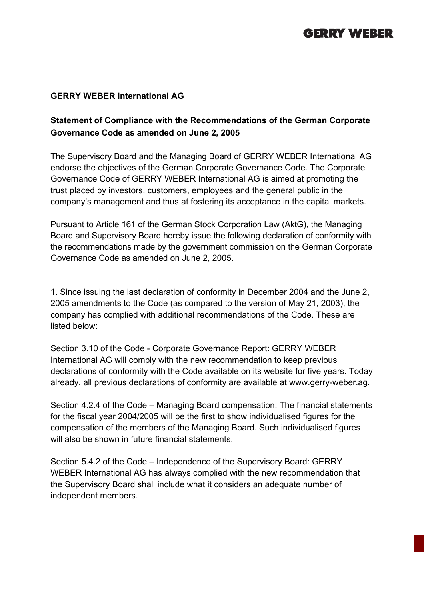## **GERRY WEBER**

## **GERRY WEBER International AG**

## **Statement of Compliance with the Recommendations of the German Corporate Governance Code as amended on June 2, 2005**

The Supervisory Board and the Managing Board of GERRY WEBER International AG endorse the objectives of the German Corporate Governance Code. The Corporate Governance Code of GERRY WEBER International AG is aimed at promoting the trust placed by investors, customers, employees and the general public in the company's management and thus at fostering its acceptance in the capital markets.

Pursuant to Article 161 of the German Stock Corporation Law (AktG), the Managing Board and Supervisory Board hereby issue the following declaration of conformity with the recommendations made by the government commission on the German Corporate Governance Code as amended on June 2, 2005.

1. Since issuing the last declaration of conformity in December 2004 and the June 2, 2005 amendments to the Code (as compared to the version of May 21, 2003), the company has complied with additional recommendations of the Code. These are listed below:

Section 3.10 of the Code - Corporate Governance Report: GERRY WEBER International AG will comply with the new recommendation to keep previous declarations of conformity with the Code available on its website for five years. Today already, all previous declarations of conformity are available at www.gerry-weber.ag.

Section 4.2.4 of the Code – Managing Board compensation: The financial statements for the fiscal year 2004/2005 will be the first to show individualised figures for the compensation of the members of the Managing Board. Such individualised figures will also be shown in future financial statements.

Section 5.4.2 of the Code – Independence of the Supervisory Board: GERRY WEBER International AG has always complied with the new recommendation that the Supervisory Board shall include what it considers an adequate number of independent members.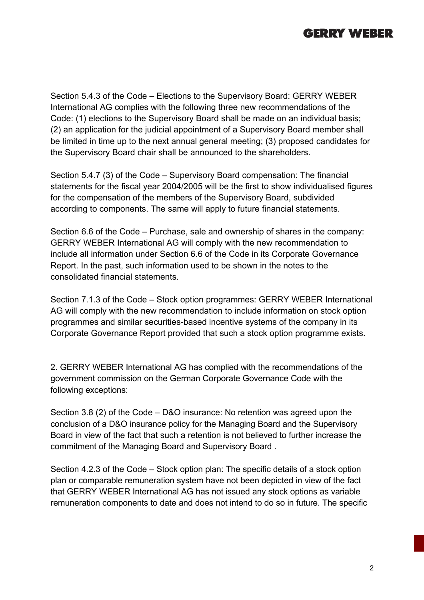

Section 5.4.3 of the Code – Elections to the Supervisory Board: GERRY WEBER International AG complies with the following three new recommendations of the Code: (1) elections to the Supervisory Board shall be made on an individual basis; (2) an application for the judicial appointment of a Supervisory Board member shall be limited in time up to the next annual general meeting; (3) proposed candidates for the Supervisory Board chair shall be announced to the shareholders.

Section 5.4.7 (3) of the Code – Supervisory Board compensation: The financial statements for the fiscal year 2004/2005 will be the first to show individualised figures for the compensation of the members of the Supervisory Board, subdivided according to components. The same will apply to future financial statements.

Section 6.6 of the Code – Purchase, sale and ownership of shares in the company: GERRY WEBER International AG will comply with the new recommendation to include all information under Section 6.6 of the Code in its Corporate Governance Report. In the past, such information used to be shown in the notes to the consolidated financial statements.

Section 7.1.3 of the Code – Stock option programmes: GERRY WEBER International AG will comply with the new recommendation to include information on stock option programmes and similar securities-based incentive systems of the company in its Corporate Governance Report provided that such a stock option programme exists.

2. GERRY WEBER International AG has complied with the recommendations of the government commission on the German Corporate Governance Code with the following exceptions:

Section 3.8 (2) of the Code – D&O insurance: No retention was agreed upon the conclusion of a D&O insurance policy for the Managing Board and the Supervisory Board in view of the fact that such a retention is not believed to further increase the commitment of the Managing Board and Supervisory Board .

Section 4.2.3 of the Code – Stock option plan: The specific details of a stock option plan or comparable remuneration system have not been depicted in view of the fact that GERRY WEBER International AG has not issued any stock options as variable remuneration components to date and does not intend to do so in future. The specific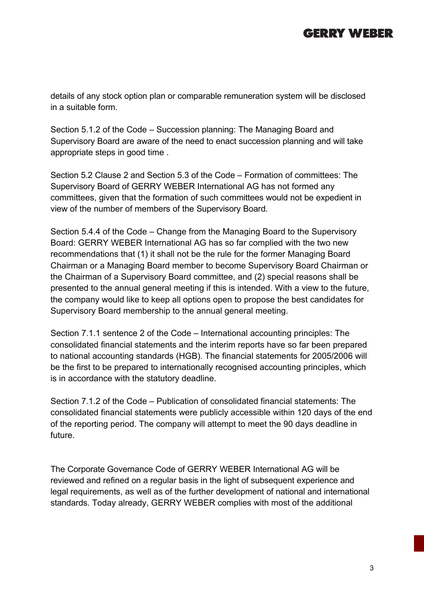## **GERRY WEBER**

details of any stock option plan or comparable remuneration system will be disclosed in a suitable form.

Section 5.1.2 of the Code – Succession planning: The Managing Board and Supervisory Board are aware of the need to enact succession planning and will take appropriate steps in good time .

Section 5.2 Clause 2 and Section 5.3 of the Code – Formation of committees: The Supervisory Board of GERRY WEBER International AG has not formed any committees, given that the formation of such committees would not be expedient in view of the number of members of the Supervisory Board.

Section 5.4.4 of the Code – Change from the Managing Board to the Supervisory Board: GERRY WEBER International AG has so far complied with the two new recommendations that (1) it shall not be the rule for the former Managing Board Chairman or a Managing Board member to become Supervisory Board Chairman or the Chairman of a Supervisory Board committee, and (2) special reasons shall be presented to the annual general meeting if this is intended. With a view to the future, the company would like to keep all options open to propose the best candidates for Supervisory Board membership to the annual general meeting.

Section 7.1.1 sentence 2 of the Code – International accounting principles: The consolidated financial statements and the interim reports have so far been prepared to national accounting standards (HGB). The financial statements for 2005/2006 will be the first to be prepared to internationally recognised accounting principles, which is in accordance with the statutory deadline.

Section 7.1.2 of the Code – Publication of consolidated financial statements: The consolidated financial statements were publicly accessible within 120 days of the end of the reporting period. The company will attempt to meet the 90 days deadline in future.

The Corporate Governance Code of GERRY WEBER International AG will be reviewed and refined on a regular basis in the light of subsequent experience and legal requirements, as well as of the further development of national and international standards. Today already, GERRY WEBER complies with most of the additional